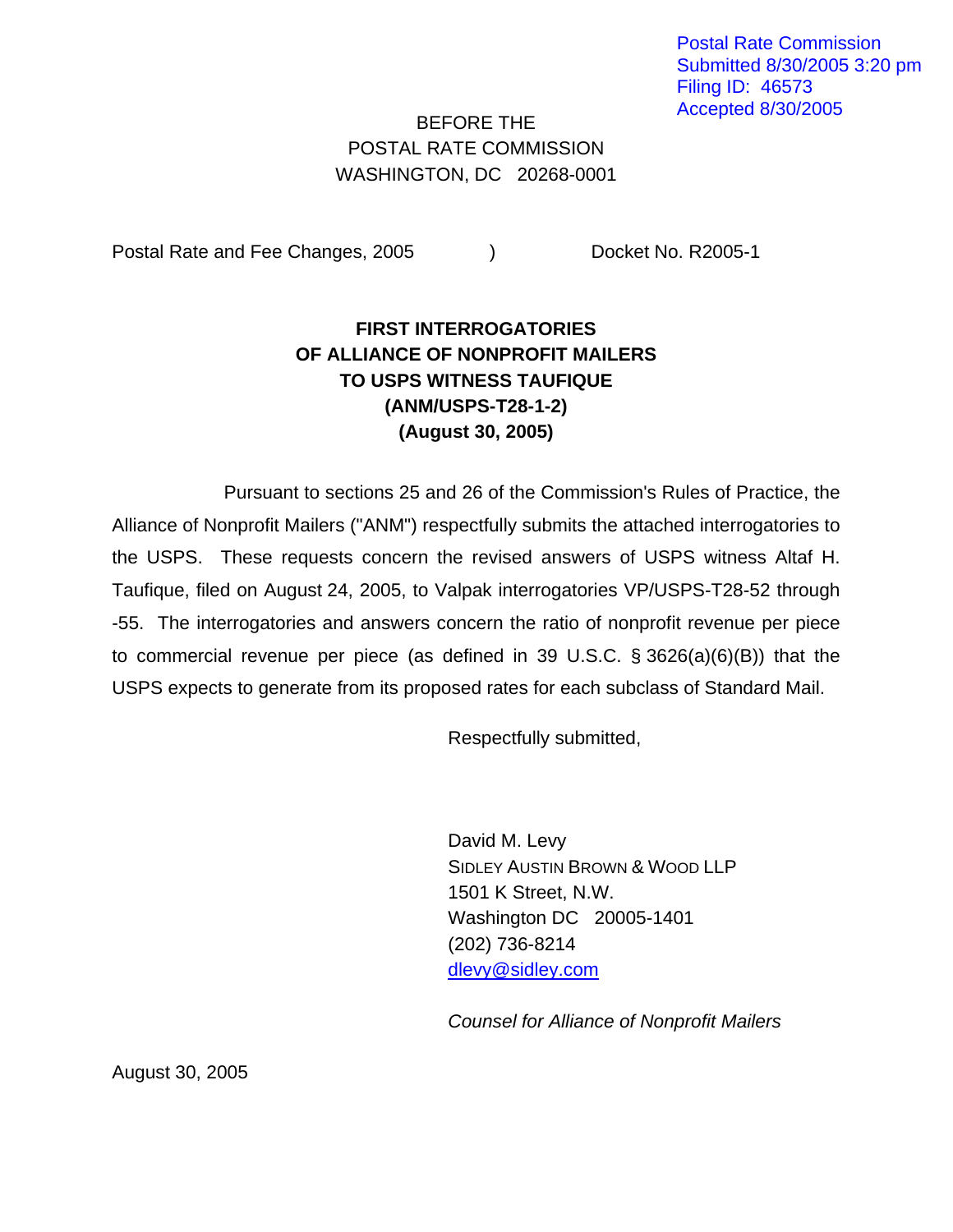Postal Rate Commission Submitted 8/30/2005 3:20 pm Filing ID: 46573 Accepted 8/30/2005

## BEFORE THE POSTAL RATE COMMISSION WASHINGTON, DC 20268-0001

Postal Rate and Fee Changes, 2005 (a) Docket No. R2005-1

## **FIRST INTERROGATORIES OF ALLIANCE OF NONPROFIT MAILERS TO USPS WITNESS TAUFIQUE (ANM/USPS-T28-1-2) (August 30, 2005)**

Pursuant to sections 25 and 26 of the Commission's Rules of Practice, the Alliance of Nonprofit Mailers ("ANM") respectfully submits the attached interrogatories to the USPS. These requests concern the revised answers of USPS witness Altaf H. Taufique, filed on August 24, 2005, to Valpak interrogatories VP/USPS-T28-52 through -55. The interrogatories and answers concern the ratio of nonprofit revenue per piece to commercial revenue per piece (as defined in 39 U.S.C. § 3626(a)(6)(B)) that the USPS expects to generate from its proposed rates for each subclass of Standard Mail.

Respectfully submitted,

 David M. Levy SIDLEY AUSTIN BROWN & WOOD LLP 1501 K Street, N.W. Washington DC 20005-1401 (202) 736-8214 [dlevy@sidley.com](mailto:dlevy@sidley.com) 

*Counsel for Alliance of Nonprofit Mailers* 

August 30, 2005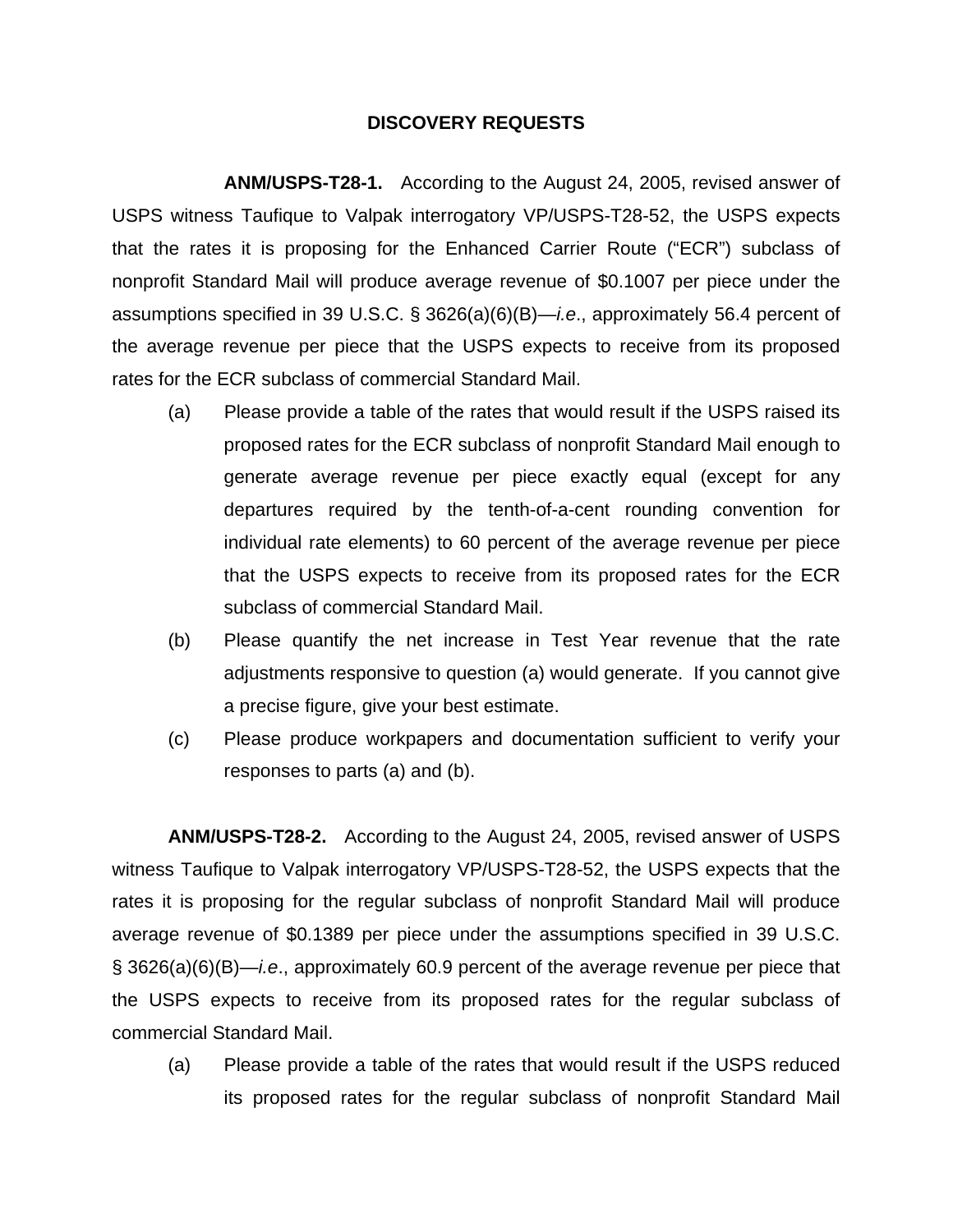## **DISCOVERY REQUESTS**

**ANM/USPS-T28-1.** According to the August 24, 2005, revised answer of USPS witness Taufique to Valpak interrogatory VP/USPS-T28-52, the USPS expects that the rates it is proposing for the Enhanced Carrier Route ("ECR") subclass of nonprofit Standard Mail will produce average revenue of \$0.1007 per piece under the assumptions specified in 39 U.S.C. § 3626(a)(6)(B)—*i.e*., approximately 56.4 percent of the average revenue per piece that the USPS expects to receive from its proposed rates for the ECR subclass of commercial Standard Mail.

- (a) Please provide a table of the rates that would result if the USPS raised its proposed rates for the ECR subclass of nonprofit Standard Mail enough to generate average revenue per piece exactly equal (except for any departures required by the tenth-of-a-cent rounding convention for individual rate elements) to 60 percent of the average revenue per piece that the USPS expects to receive from its proposed rates for the ECR subclass of commercial Standard Mail.
- (b) Please quantify the net increase in Test Year revenue that the rate adjustments responsive to question (a) would generate. If you cannot give a precise figure, give your best estimate.
- (c) Please produce workpapers and documentation sufficient to verify your responses to parts (a) and (b).

**ANM/USPS-T28-2.** According to the August 24, 2005, revised answer of USPS witness Taufique to Valpak interrogatory VP/USPS-T28-52, the USPS expects that the rates it is proposing for the regular subclass of nonprofit Standard Mail will produce average revenue of \$0.1389 per piece under the assumptions specified in 39 U.S.C. § 3626(a)(6)(B)—*i.e*., approximately 60.9 percent of the average revenue per piece that the USPS expects to receive from its proposed rates for the regular subclass of commercial Standard Mail.

 (a) Please provide a table of the rates that would result if the USPS reduced its proposed rates for the regular subclass of nonprofit Standard Mail